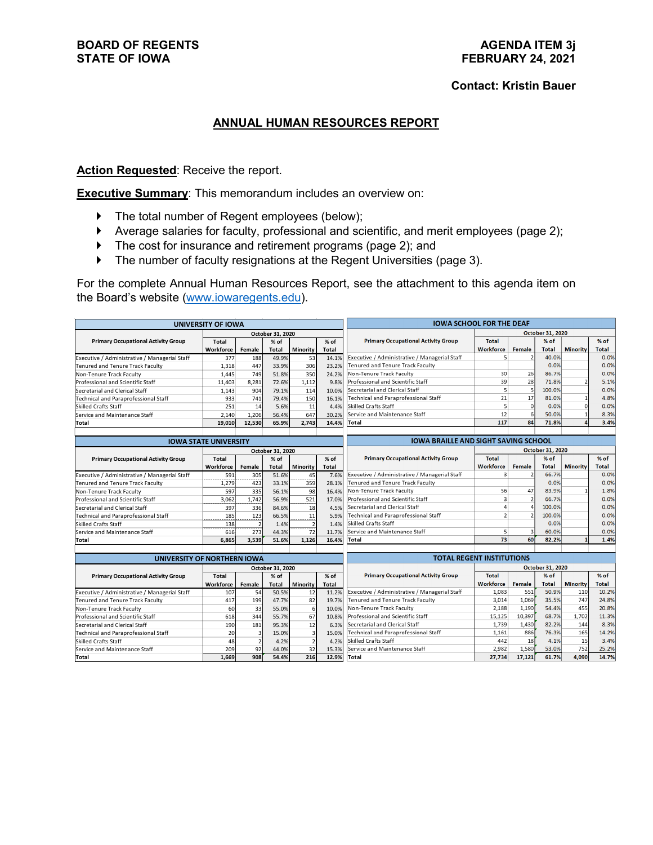## **Contact: Kristin Bauer**

## **ANNUAL HUMAN RESOURCES REPORT**

**Action Requested:** Receive the report.

**Executive Summary:** This memorandum includes an overview on:

- The total number of Regent employees (below);
- Average salaries for faculty, professional and scientific, and merit employees (page 2);
- ▶ The cost for insurance and retirement programs (page 2); and
- The number of faculty resignations at the Regent Universities (page 3).

For the complete Annual Human Resources Report, see the attachment to this agenda item on the Board's website [\(www.iowaregents.edu\)](http://www.iowaregents.edu/).

| <b>UNIVERSITY OF IOWA</b>                     |                  |                          |                | <b>IOWA SCHOOL FOR THE DEAF</b> |                                             |                                                               |                                                    |                |              |                         |              |
|-----------------------------------------------|------------------|--------------------------|----------------|---------------------------------|---------------------------------------------|---------------------------------------------------------------|----------------------------------------------------|----------------|--------------|-------------------------|--------------|
|                                               | October 31, 2020 |                          |                |                                 |                                             |                                                               | October 31, 2020                                   |                |              |                         |              |
| <b>Primary Occupational Activity Group</b>    | <b>Total</b>     | % of<br>% of             |                |                                 | <b>Primary Occupational Activity Group</b>  | <b>Total</b>                                                  |                                                    | % of           |              | $%$ of                  |              |
|                                               | Workforce        | Female                   | Total          | Minority                        | <b>Total</b>                                |                                                               | Workforce                                          | Female         | <b>Total</b> | <b>Minority</b>         | Total        |
| Executive / Administrative / Managerial Staff | 377              | 188                      | 49.9%          | 53                              | 14.1%                                       | Executive / Administrative / Managerial Staff                 | $\mathsf{S}$                                       |                | 40.0%        |                         | 0.0%         |
| Tenured and Tenure Track Faculty              | 1,318            | 447                      | 33.9%          | 306                             | 23.2%                                       | Tenured and Tenure Track Faculty                              |                                                    |                | 0.0%         |                         | 0.0%         |
| Non-Tenure Track Faculty                      | 1.445            | 749                      | 51.8%          | 350                             | 24.2%                                       | Non-Tenure Track Faculty                                      | 30                                                 | 26             | 86.7%        |                         | 0.0%         |
| Professional and Scientific Staff             | 11,403           | 8.281                    | 72.6%          | 1,112                           | 9.8%                                        | Professional and Scientific Staff                             | 39                                                 | 28             | 71.8%        | $\overline{\mathbf{z}}$ | 5.1%         |
| Secretarial and Clerical Staff                | 1.143            | 904                      | 79.1%          | 114                             | 10.0%                                       | Secretarial and Clerical Staff                                | $\overline{5}$                                     | 5              | 100.0%       |                         | 0.0%         |
| <b>Technical and Paraprofessional Staff</b>   | 933              | 741                      | 79.4%          | 150                             | 16.1%                                       | Technical and Paraprofessional Staff                          | 21                                                 | 17             | 81.0%        | $\mathbf{1}$            | 4.8%         |
| <b>Skilled Crafts Staff</b>                   | 251              | 14                       | 5.6%           | 11                              | 4.4%                                        | Skilled Crafts Staff                                          |                                                    | 5<br>$\Omega$  | 0.0%         | $\mathbf 0$             | 0.0%         |
| Service and Maintenance Staff                 | 2.140            | 1.206                    | 56.4%          | 647                             | 30.2%                                       | Service and Maintenance Staff                                 |                                                    | 6              | 50.0%        | $\mathbf{1}$            | 8.3%         |
| <b>Total</b>                                  | 19.010           | 12.530                   | 65.9%          | 2.743                           | 14.4%                                       | Total                                                         | 117                                                | 84             | 71.8%        | $\overline{a}$          | 3.4%         |
|                                               |                  |                          |                |                                 |                                             |                                                               |                                                    |                |              |                         |              |
| <b>IOWA STATE UNIVERSITY</b>                  |                  |                          |                |                                 | <b>IOWA BRAILLE AND SIGHT SAVING SCHOOL</b> |                                                               |                                                    |                |              |                         |              |
|                                               | October 31, 2020 |                          |                |                                 |                                             |                                                               | <b>October 31, 2020</b>                            |                |              |                         |              |
| <b>Primary Occupational Activity Group</b>    | <b>Total</b>     |                          | $%$ of         |                                 | % of                                        | <b>Primary Occupational Activity Group</b>                    | <b>Total</b>                                       |                | % of         |                         | % of         |
|                                               | Workforce        | Female                   | Total          | Minority                        | <b>Total</b>                                |                                                               | <b>Workforce</b>                                   | <b>Female</b>  | <b>Total</b> | <b>Minority</b>         | Total        |
| Executive / Administrative / Managerial Staff | 591              | 305                      | 51.6%          | 45                              | 7.6%                                        | Executive / Administrative / Managerial Staff                 | 3 <sup>1</sup>                                     |                | 66.7%        |                         | 0.0%         |
| Tenured and Tenure Track Faculty              | 1,279            | 423                      | 33.1%          | 359                             | 28.1%                                       | Tenured and Tenure Track Faculty                              |                                                    |                | 0.0%         |                         | 0.0%         |
| Non-Tenure Track Faculty                      | 597              | 335                      | 56.1%          | 98                              | 16.4%                                       | Non-Tenure Track Faculty                                      | 56                                                 | 47             | 83.9%        | $\mathbf{1}$            | 1.8%         |
| Professional and Scientific Staff             | 3.062            | 1.742                    | 56.9%          | 521                             | 17.0%                                       | Professional and Scientific Staff                             | 3                                                  | $\overline{2}$ | 66.7%        |                         | 0.0%         |
| Secretarial and Clerical Staff                | 397              | 336                      | 84.6%          | 18                              | 4.5%                                        | Secretarial and Clerical Staff                                |                                                    |                | 100.0%       |                         | 0.0%         |
| Technical and Paraprofessional Staff          | 185              | 123                      | 66.5%          | 11                              | 5.9%                                        | Technical and Paraprofessional Staff                          | $\overline{a}$                                     |                | 100.0%       |                         | 0.0%         |
| <b>Skilled Crafts Staff</b>                   | 138              | $\overline{\phantom{0}}$ | 1.4%           | $\overline{2}$                  | 1.4%                                        | Skilled Crafts Staff                                          |                                                    |                | 0.0%         |                         | 0.0%         |
| Service and Maintenance Staff                 | 616              | 273                      | 44.3%          | 72                              | 11.7%                                       | Service and Maintenance Staff                                 | 5 <sup>1</sup>                                     | $\overline{3}$ | 60.0%        |                         | 0.0%         |
| <b>Total</b>                                  | 6.865            | 3.539                    | 51.6%          | 1.126                           | 16.4%                                       | Total                                                         | 73                                                 | 60             | 82.2%        | $\mathbf{1}$            | 1.4%         |
|                                               |                  |                          |                |                                 |                                             |                                                               |                                                    |                |              |                         |              |
| UNIVERSITY OF NORTHERN IOWA                   |                  |                          |                |                                 | <b>TOTAL REGENT INSTITUTIONS</b>            |                                                               |                                                    |                |              |                         |              |
| <b>Primary Occupational Activity Group</b>    | October 31, 2020 |                          |                |                                 |                                             | <b>Primary Occupational Activity Group</b>                    | October 31, 2020<br>$%$ of<br>% of<br><b>Total</b> |                |              |                         |              |
|                                               | <b>Total</b>     |                          | $%$ of         |                                 | % of                                        |                                                               | <b>Workforce</b>                                   | Female         | <b>Total</b> | <b>Minority</b>         | <b>Total</b> |
| Executive / Administrative / Managerial Staff | Workforce<br>107 | Female<br>54             | Total<br>50.5% | Minority<br>12                  | <b>Total</b><br>11.2%                       | Executive / Administrative / Managerial Staff                 | 1,083                                              | 551            | 50.9%        | 110                     | 10.2%        |
|                                               | 417              | 199                      | 47.7%          | 82                              | 19.7%                                       | Tenured and Tenure Track Faculty                              | 3,014                                              | 1,069          | 35.5%        | 747                     | 24.8%        |
| Tenured and Tenure Track Faculty              |                  |                          |                |                                 |                                             | Non-Tenure Track Faculty                                      | 2.188                                              | 1,190          | 54.4%        | 455                     | 20.8%        |
| Non-Tenure Track Faculty                      | 60               | 33                       | 55.0%          | 6                               | 10.0%                                       | Professional and Scientific Staff                             |                                                    | 10,397         | 68.7%        | 1.702                   | 11.3%        |
| Professional and Scientific Staff             | 618              | 344                      | 55.7%          | 67                              | 10.8%                                       | 15,125                                                        |                                                    |                |              | 144                     | 8.3%         |
| Secretarial and Clerical Staff                | 190              | 181                      | 95.3%          | 12                              | 6.3%                                        | Secretarial and Clerical Staff<br>82.2%<br>1.739<br>1,430     |                                                    | 165            | 14.2%        |                         |              |
| Technical and Paraprofessional Staff          | 20               | 3                        | 15.0%          | 3                               | 15.0%                                       | 886<br>Technical and Paraprofessional Staff<br>76.3%<br>1,161 |                                                    | 15             | 3.4%         |                         |              |
| <b>Skilled Crafts Staff</b>                   | 48               | $\overline{\phantom{0}}$ | 4.2%           | $\overline{2}$                  | 4.2%                                        | 442<br>18<br>Skilled Crafts Staff<br>4.1%                     |                                                    | 752            | 25.2%        |                         |              |
| Service and Maintenance Staff                 | 209              | 92                       | 44.0%          | 32                              | 15.3%                                       | Service and Maintenance Staff<br>2,982<br>1,580<br>53.0%      |                                                    |                |              |                         |              |
| <b>Total</b>                                  | 1.669            | 908                      | 54.4%          | 216                             | 12.9%                                       | Total                                                         | 27,734                                             | 17.121         | 61.7%        | 4.090                   | 14.7%        |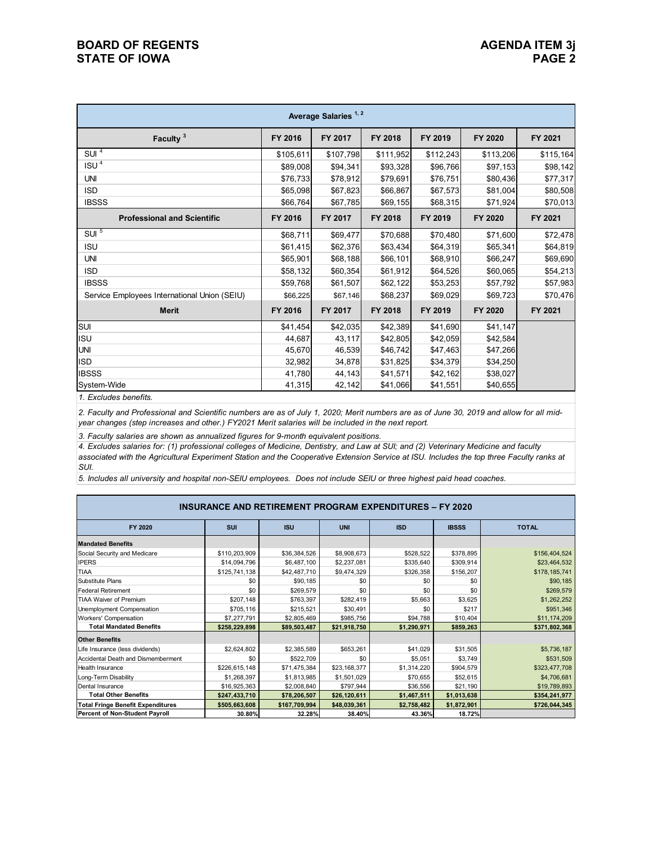| Average Salaries <sup>1,2</sup>              |           |           |           |           |           |           |  |  |  |
|----------------------------------------------|-----------|-----------|-----------|-----------|-----------|-----------|--|--|--|
| Faculty <sup>3</sup>                         | FY 2016   | FY 2017   | FY 2018   | FY 2019   | FY 2020   | FY 2021   |  |  |  |
| SUI <sup>4</sup>                             | \$105,611 | \$107,798 | \$111,952 | \$112,243 | \$113,206 | \$115,164 |  |  |  |
| ISU <sup>4</sup>                             | \$89,008  | \$94,341  | \$93,328  | \$96,766  | \$97,153  | \$98,142  |  |  |  |
| <b>UNI</b>                                   | \$76,733  | \$78,912  | \$79,691  | \$76,751  | \$80,436  | \$77,317  |  |  |  |
| <b>ISD</b>                                   | \$65,098  | \$67,823  | \$66,867  | \$67,573  | \$81,004  | \$80,508  |  |  |  |
| <b>IBSSS</b>                                 | \$66,764  | \$67,785  | \$69,155  | \$68,315  | \$71,924  | \$70,013  |  |  |  |
| <b>Professional and Scientific</b>           | FY 2016   | FY 2017   | FY 2018   | FY 2019   | FY 2020   | FY 2021   |  |  |  |
| SUI <sup>5</sup>                             | \$68,711  | \$69,477  | \$70,688  | \$70,480  | \$71,600  | \$72,478  |  |  |  |
| <b>ISU</b>                                   | \$61,415  | \$62,376  | \$63,434  | \$64,319  | \$65,341  | \$64,819  |  |  |  |
| <b>UNI</b>                                   | \$65,901  | \$68,188  | \$66,101  | \$68,910  | \$66,247  | \$69,690  |  |  |  |
| <b>ISD</b>                                   | \$58,132  | \$60,354  | \$61,912  | \$64,526  | \$60,065  | \$54,213  |  |  |  |
| <b>IBSSS</b>                                 | \$59,768  | \$61,507  | \$62,122  | \$53,253  | \$57,792  | \$57,983  |  |  |  |
| Service Employees International Union (SEIU) | \$66,225  | \$67,146  | \$68,237  | \$69,029  | \$69,723  | \$70,476  |  |  |  |
| <b>Merit</b>                                 | FY 2016   | FY 2017   | FY 2018   | FY 2019   | FY 2020   | FY 2021   |  |  |  |
| SUI                                          | \$41,454  | \$42,035  | \$42,389  | \$41,690  | \$41,147  |           |  |  |  |
| <b>ISU</b>                                   | 44,687    | 43,117    | \$42,805  | \$42,059  | \$42,584  |           |  |  |  |
| <b>UNI</b>                                   | 45,670    | 46,539    | \$46,742  | \$47,463  | \$47,266  |           |  |  |  |
| <b>ISD</b>                                   | 32,982    | 34,878    | \$31,825  | \$34,379  | \$34,250  |           |  |  |  |
| <b>IBSSS</b>                                 | 41,780    | 44,143    | \$41,571  | \$42,162  | \$38,027  |           |  |  |  |
| System-Wide                                  | 41,315    | 42,142    | \$41,066  | \$41,551  | \$40,655  |           |  |  |  |

*1. Excludes benefits.*

*2. Faculty and Professional and Scientific numbers are as of July 1, 2020; Merit numbers are as of June 30, 2019 and allow for all midyear changes (step increases and other.) FY2021 Merit salaries will be included in the next report.*

*3. Faculty salaries are shown as annualized figures for 9-month equivalent positions.*

*4. Excludes salaries for: (1) professional colleges of Medicine, Dentistry, and Law at SUI; and (2) Veterinary Medicine and faculty associated with the Agricultural Experiment Station and the Cooperative Extension Service at ISU. Includes the top three Faculty ranks at SUI.*

*5. Includes all university and hospital non-SEIU employees. Does not include SEIU or three highest paid head coaches.*

| <b>INSURANCE AND RETIREMENT PROGRAM EXPENDITURES - FY 2020</b> |               |               |              |             |              |               |  |  |
|----------------------------------------------------------------|---------------|---------------|--------------|-------------|--------------|---------------|--|--|
| FY 2020                                                        | SUI           | <b>ISU</b>    | <b>UNI</b>   | <b>ISD</b>  | <b>IBSSS</b> | <b>TOTAL</b>  |  |  |
| <b>Mandated Benefits</b>                                       |               |               |              |             |              |               |  |  |
| Social Security and Medicare                                   | \$110,203,909 | \$36,384,526  | \$8,908,673  | \$528,522   | \$378,895    | \$156,404,524 |  |  |
| <b>IPERS</b>                                                   | \$14,094,796  | \$6,487,100   | \$2,237,081  | \$335,640   | \$309,914    | \$23,464,532  |  |  |
| <b>TIAA</b>                                                    | \$125,741,138 | \$42,487,710  | \$9,474,329  | \$326,358   | \$156,207    | \$178,185,741 |  |  |
| Substitute Plans                                               | \$0           | \$90,185      | \$0          | \$0         | \$0          | \$90,185      |  |  |
| <b>Federal Retirement</b>                                      | \$0           | \$269,579     | \$0          | \$0         | \$0          | \$269,579     |  |  |
| <b>TIAA Waiver of Premium</b>                                  | \$207,148     | \$763,397     | \$282,419    | \$5,663     | \$3,625      | \$1,262,252   |  |  |
| Unemployment Compensation                                      | \$705,116     | \$215,521     | \$30,491     | \$0         | \$217        | \$951,346     |  |  |
| Workers' Compensation                                          | \$7,277,791   | \$2,805,469   | \$985,756    | \$94,788    | \$10,404     | \$11,174,209  |  |  |
| <b>Total Mandated Benefits</b>                                 | \$258,229,898 | \$89,503,487  | \$21,918,750 | \$1,290,971 | \$859,263    | \$371,802,368 |  |  |
| <b>Other Benefits</b>                                          |               |               |              |             |              |               |  |  |
| Life Insurance (less dividends)                                | \$2,624,802   | \$2,385,589   | \$653,261    | \$41,029    | \$31,505     | \$5,736,187   |  |  |
| Accidental Death and Dismemberment                             | \$0           | \$522,709     | \$0          | \$5,051     | \$3,749      | \$531,509     |  |  |
| <b>Health Insurance</b>                                        | \$226,615,148 | \$71,475,384  | \$23,168,377 | \$1,314,220 | \$904,579    | \$323,477,708 |  |  |
| Long-Term Disability                                           | \$1,268,397   | \$1,813,985   | \$1,501,029  | \$70,655    | \$52,615     | \$4,706,681   |  |  |
| Dental Insurance                                               | \$16,925,363  | \$2,008,840   | \$797,944    | \$36,556    | \$21,190     | \$19,789,893  |  |  |
| <b>Total Other Benefits</b>                                    | \$247,433,710 | \$78,206,507  | \$26,120,611 | \$1,467,511 | \$1,013,638  | \$354,241,977 |  |  |
| <b>Total Fringe Benefit Expenditures</b>                       | \$505,663,608 | \$167,709,994 | \$48,039,361 | \$2,758,482 | \$1,872,901  | \$726,044,345 |  |  |
| Percent of Non-Student Payroll                                 | 30.80%        | 32.28%        | 38.40%       | 43.36%      | 18.72%       |               |  |  |